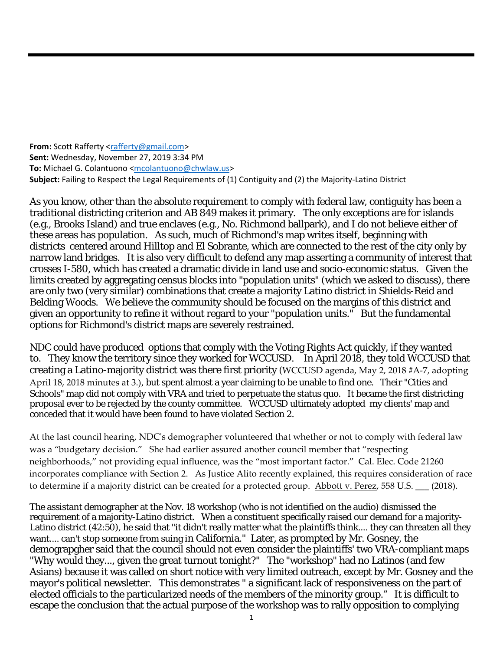**From:** Scott Rafferty <rafferty@gmail.com> **Sent:** Wednesday, November 27, 2019 3:34 PM **To:** Michael G. Colantuono <mcolantuono@chwlaw.us> **Subject:** Failing to Respect the Legal Requirements of (1) Contiguity and (2) the Majority‐Latino District

As you know, other than the absolute requirement to comply with federal law, contiguity has been a traditional districting criterion and AB 849 makes it primary. The only exceptions are for islands (e.g., Brooks Island) and true enclaves (e.g., No. Richmond ballpark), and I do not believe either of these areas has population. As such, much of Richmond's map writes itself, beginning with districts centered around Hilltop and El Sobrante, which are connected to the rest of the city only by narrow land bridges. It is also very difficult to defend any map asserting a community of interest that crosses I-580, which has created a dramatic divide in land use and socio-economic status. Given the limits created by aggregating census blocks into "population units" (which we asked to discuss), there are only two (very similar) combinations that create a majority Latino district in Shields-Reid and Belding Woods. We believe the community should be focused on the margins of this district and given an opportunity to refine it without regard to your "population units." But the fundamental options for Richmond's district maps are severely restrained.

NDC could have produced options that comply with the Voting Rights Act quickly, if they wanted to. They know the territory since they worked for WCCUSD. In April 2018, they told WCCUSD that creating a Latino-majority district was there first priority (WCCUSD agenda, May 2, 2018 #A‐7, adopting April 18, 2018 minutes at 3.), but spent almost a year claiming to be unable to find one. Their "Cities and Schools" map did not comply with VRA and tried to perpetuate the status quo. It became the first districting proposal ever to be rejected by the county committee. WCCUSD ultimately adopted my clients' map and conceded that it would have been found to have violated Section 2.

At the last council hearing, NDCʹs demographer volunteered that whether or not to comply with federal law was a "budgetary decision." She had earlier assured another council member that "respecting neighborhoods," not providing equal influence, was the "most important factor." Cal. Elec. Code 21260 incorporates compliance with Section 2. As Justice Alito recently explained, this requires consideration of race to determine if a majority district can be created for a protected group. Abbott v. Perez, 558 U.S. \_\_\_ (2018).

The assistant demographer at the Nov. 18 workshop (who is not identified on the audio) dismissed the requirement of a majority-Latino district. When a constituent specifically raised our demand for a majority-Latino district (42:50), he said that "it didn't really matter what the plaintiffs think.... they can threaten all they want.... can't stop someone from suing in California." Later, as prompted by Mr. Gosney, the demograpgher said that the council should not even consider the plaintiffs' two VRA-compliant maps "Why would they..., given the great turnout tonight?" The "workshop" had no Latinos (and few Asians) because it was called on short notice with very limited outreach, except by Mr. Gosney and the mayor's political newsletter. This demonstrates " a significant lack of responsiveness on the part of elected officials to the particularized needs of the members of the minority group." It is difficult to escape the conclusion that the actual purpose of the workshop was to rally opposition to complying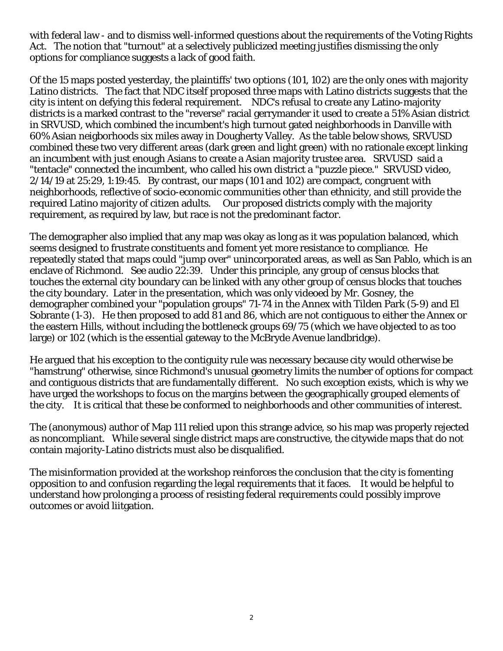with federal law - and to dismiss well-informed questions about the requirements of the Voting Rights Act. The notion that "turnout" at a selectively publicized meeting justifies dismissing the only options for compliance suggests a lack of good faith.

Of the 15 maps posted yesterday, the plaintiffs' two options (101, 102) are the only ones with majority Latino districts. The fact that NDC itself proposed three maps with Latino districts suggests that the city is intent on defying this federal requirement. NDC's refusal to create any Latino-majority districts is a marked contrast to the "reverse" racial gerrymander it used to create a 51% Asian district in SRVUSD, which combined the incumbent's high turnout gated neighborhoods in Danville with 60% Asian neigborhoods six miles away in Dougherty Valley. As the table below shows, SRVUSD combined these two very different areas (dark green and light green) with no rationale except linking an incumbent with just enough Asians to create a Asian majority trustee area. SRVUSD said a "tentacle" connected the incumbent, who called his own district a "puzzle piece." SRVUSD video, 2/14/19 at 25:29, 1:19:45. By contrast, our maps (101 and 102) are compact, congruent with neighborhoods, reflective of socio-economic communities other than ethnicity, and still provide the required Latino majority of citizen adults. Our proposed districts comply with the majority requirement, as required by law, but race is not the predominant factor.

The demographer also implied that any map was okay as long as it was population balanced, which seems designed to frustrate constituents and foment yet more resistance to compliance. He repeatedly stated that maps could "jump over" unincorporated areas, as well as San Pablo, which is an enclave of Richmond. See audio 22:39. Under this principle, any group of census blocks that touches the external city boundary can be linked with any other group of census blocks that touches the city boundary. Later in the presentation, which was only videoed by Mr. Gosney, the demographer combined your "population groups" 71-74 in the Annex with Tilden Park (5-9) and El Sobrante (1-3). He then proposed to add 81 and 86, which are not contiguous to either the Annex or the eastern Hills, without including the bottleneck groups 69/75 (which we have objected to as too large) or 102 (which is the essential gateway to the McBryde Avenue landbridge).

He argued that his exception to the contiguity rule was necessary because city would otherwise be "hamstrung" otherwise, since Richmond's unusual geometry limits the number of options for compact and contiguous districts that are fundamentally different. No such exception exists, which is why we have urged the workshops to focus on the margins between the geographically grouped elements of the city. It is critical that these be conformed to neighborhoods and other communities of interest.

The (anonymous) author of Map 111 relied upon this strange advice, so his map was properly rejected as noncompliant. While several single district maps are constructive, the citywide maps that do not contain majority-Latino districts must also be disqualified.

The misinformation provided at the workshop reinforces the conclusion that the city is fomenting opposition to and confusion regarding the legal requirements that it faces. It would be helpful to understand how prolonging a process of resisting federal requirements could possibly improve outcomes or avoid liitgation.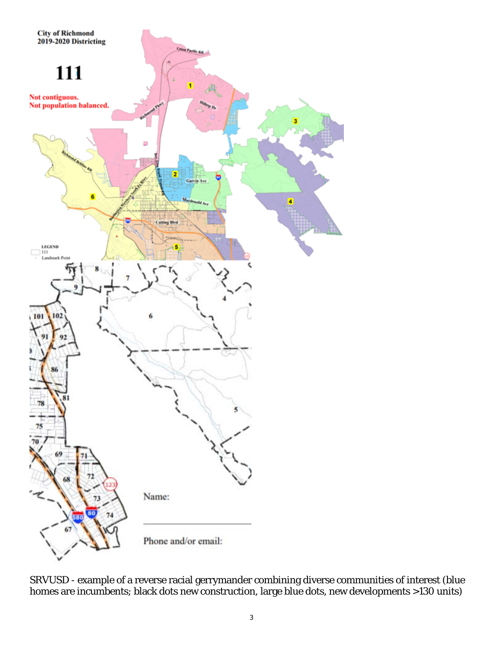

SRVUSD - example of a reverse racial gerrymander combining diverse communities of interest (blue homes are incumbents; black dots new construction, large blue dots, new developments >130 units)